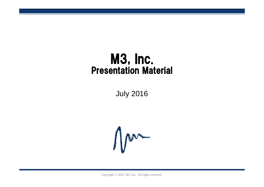# M3, Inc. Presentation Material

July 2016



Copyright © 2016 M3, Inc. All rights reserved.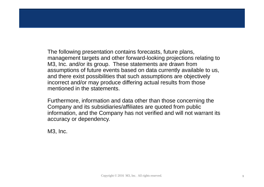The following presentation contains forecasts, future plans, management targets and other forward-looking projections relating to M3, Inc. and/or its group. These statements are drawn from assumptions of future events based on data currently available to us, and there exist possibilities that such assumptions are objectively incorrect and/or may produce differing actual results from those mentioned in the statements.

Furthermore, information and data other than those concerning the Company and its subsidiaries/affiliates are quoted from public information, and the Company has not verified and will not warrant its accuracy or dependency.

M3, Inc.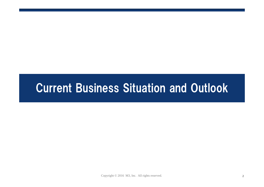# Current Business Situation and Outlook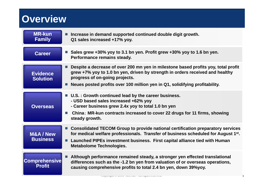#### **Overview**

| <b>MR-kun</b><br><b>Family</b>        | Increase in demand supported continued double digit growth.<br>Q1 sales increased +17% yoy.                                                                                                                                                                                                          |
|---------------------------------------|------------------------------------------------------------------------------------------------------------------------------------------------------------------------------------------------------------------------------------------------------------------------------------------------------|
| <b>Career</b>                         | ■ Sales grew +30% yoy to 3.1 bn yen. Profit grew +30% yoy to 1.6 bn yen.<br>Performance remains steady.                                                                                                                                                                                              |
| <b>Evidence</b><br><b>Solution</b>    | Despite a decrease of over 200 mn yen in milestone based profits yoy, total profit<br>grew +7% yoy to 1.0 bn yen, driven by strength in orders received and healthy<br>progress of on-going projects.<br>Neues posted profits over 100 million yen in Q1, solidifying profitability.                 |
| <b>Overseas</b>                       | ■ U.S. : Growth continued lead by the career business.<br>- USD based sales increased +62% yoy<br>- Career business grew 2.4x yoy to total 1.0 bn yen<br>China: MR-kun contracts increased to cover 22 drugs for 11 firms, showing<br>ш<br>steady growth.                                            |
| <b>M&amp;A/New</b><br><b>Business</b> | ■ Consolidated TECOM Group to provide national certification preparatory services<br>for medical welfare professionals. Transfer of business scheduled for August 1 <sup>st</sup> .<br>Launched PIPEs investment business. First capital alliance tied with Human<br><b>Metabolome Technologies.</b> |
| <b>Comprehensive</b><br><b>Profit</b> | Although performance remained steady, a stronger yen effected translational<br>differences such as the -1.2 bn yen from valuation of or overseas operations,<br>causing comprehensive profits to total 2.4 bn yen, down 39%yoy.                                                                      |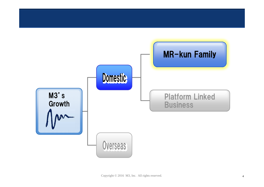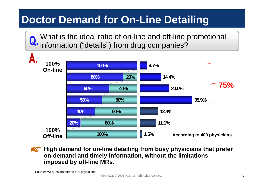## **Doctor Demand for On-Line Detailing**

What is the ideal ratio of on-line and off-line promotional information ("details") from drug companies?



**High demand for on-line detailing from busy physicians that prefer on-demand and timely information, without the limitations imposed by off-line MRs.**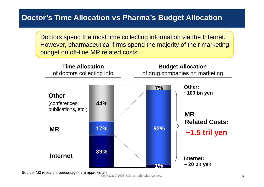#### **Doctor's Time Allocation vs Pharma's Budget Allocation**

Doctors spend the most time collecting information via the Internet. However, pharmaceutical firms spend the majority of their marketing budget on off-line MR related costs.



Source: M3 research, percentages are approximate

Copyright  $\odot$  2016 M3, Inc. All rights reserved.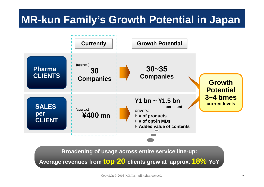# **MR-kun Family's Growth Potential in Japan**



**Broadening of usage across entire service line-up:**

**Average revenues from top 20 clients grew at approx. 18% YoY**

Copyright © 2016 M3, Inc. All rights reserved. 7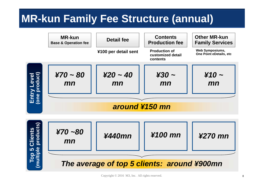## **MR-kun Family Fee Structure (annual)**

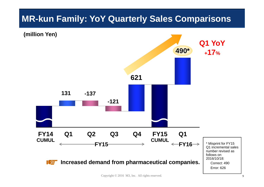#### **MR-kun Family: YoY Quarterly Sales Comparisons**



Copyright © 2016 M3, Inc. All rights reserved. <sup>9</sup>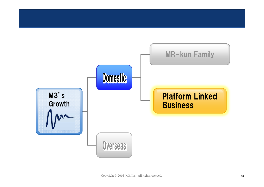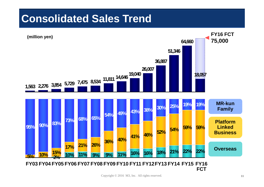### **Consolidated Sales Trend**

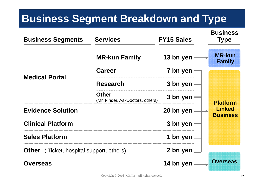### **Business Segment Breakdown and Type**

| <b>Business Segments</b>                         | <b>Services</b>                                  | <b>FY15 Sales</b>         | <b>Business</b><br><b>Type</b> |
|--------------------------------------------------|--------------------------------------------------|---------------------------|--------------------------------|
|                                                  | <b>MR-kun Family</b>                             | 13 bn yen                 | <b>MR-kun</b><br><b>Family</b> |
|                                                  | <b>Career</b>                                    | 7 bn yen                  |                                |
| <b>Medical Portal</b>                            | <b>Research</b>                                  | 3 bn yen                  |                                |
|                                                  | <b>Other</b><br>(Mr. Finder, AskDoctors, others) | 3 bn yen                  | <b>Platform</b>                |
| <b>Evidence Solution</b>                         | 20 bn yen                                        | Linked<br><b>Business</b> |                                |
| <b>Clinical Platform</b>                         |                                                  | 3 bn yen                  |                                |
| <b>Sales Platform</b>                            |                                                  | 1 bn yen                  |                                |
| <b>Other</b> (iTicket, hospital support, others) | 2 bn yen                                         |                           |                                |
| <b>Overseas</b>                                  |                                                  | 14 bn yen                 | <b>Overseas</b>                |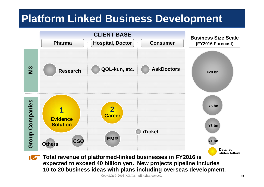### **Platform Linked Business Development**



**expected to exceed 40 billion yen. New projects pipeline includes 10 to 20 business ideas with plans including overseas development.**

Copyright © 2016 M3, Inc. All rights reserved. 13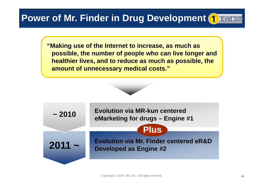#### **Power of Mr. Finder in Drug Development 1 Evid Sol**

**"Making use of the Internet to increase, as much as possible, the number of people who can live longer and healthier lives, and to reduce as much as possible, the amount of unnecessary medical costs."**

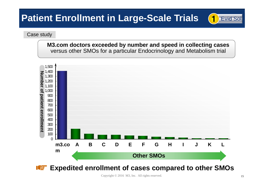#### **Patient Enrollment in Large-Scale Trials**

#### Case study

**M3.com doctors exceeded by number and speed in collecting cases** versus other SMOs for a particular Endocrinology and Metabolism trial



Copyright © 2016 M3, Inc. All rights reserved. 15

1 Evid Sol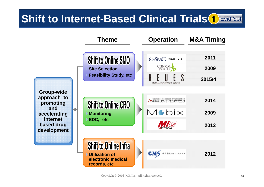#### Evid Sol **Shift to Internet-Based Clinical Trials<sup>(1)</sup>**

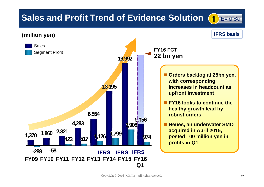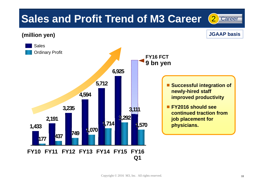# **Sales and Profit Trend of M3 Career** (2) Career

**(million yen)**

**JGAAP basis**

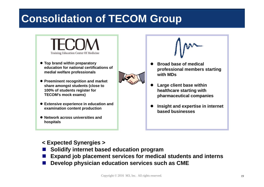# **Consolidation of TECOM Group**



- **Top brand within preparatory education for national certifications of medial welfare professionals**
- **Preeminent recognition and market share amongst students (close to 100% of students register for TECOM's mock exams)**
- **Extensive experience in education and examination content production**
- **Network across universities and hospitals**



- $\bullet$  **Broad base of medical professional members starting with MDs**
- $\bullet$  **Large client base within healthcare starting with pharmaceutical companies**
- $\bullet$  **Insight and expertise in internet based businesses**

#### **< Expected Synergies >**

- M. **Solidify internet based education program**
- P. **Expand job placement services for medical students and interns**
- M. **Develop physician education services such as CME**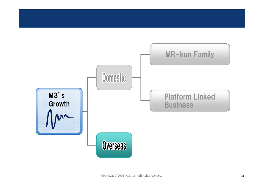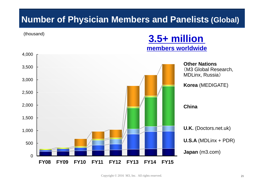#### **Number of Physician Members and Panelists (Global)**

(thousand)

#### **3.5+ million members worldwide**

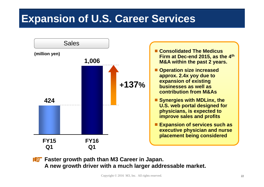### **Expansion of U.S. Career Services**



**Faster growth path than M3 Career in Japan. A new growth driver with a much larger addressable market.**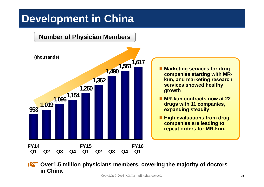### **Development in China**



**ICE** Over1.5 million physicians members, covering the majority of doctors **in China**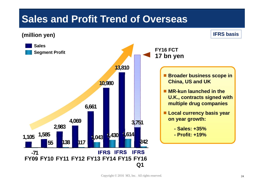#### **Sales and Profit Trend of Overseas**

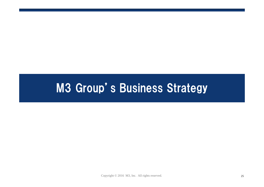# M3 Group's Business Strategy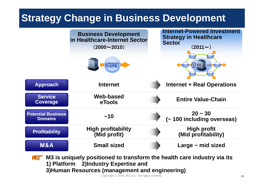#### **Strategy Change in Business Development**



**M3 is uniquely positioned to transform the health care industry via its**  【之】 **1) Platform 2)Industry Expertise and 3)Human Resources (management and engineering)**

Copyright © 2016 M3, Inc. All rights reserved. 26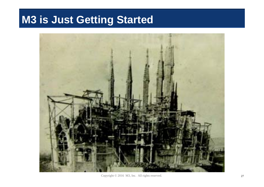# **M3 is Just Getting Started**



Copyright © 2016 M3, Inc. All rights reserved. 27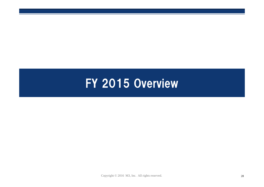# FY 2015 Overview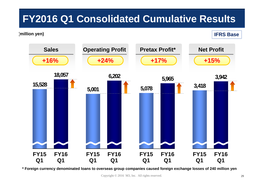### **FY2016 Q1 Consolidated Cumulative Results**

#### **(million yen) IFRS Base**



**\* Foreign currency denominated loans to overseas group companies caused foreign exchange losses of 240 million yen**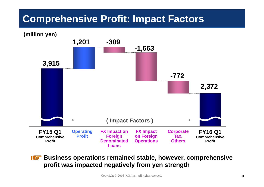#### **Comprehensive Profit: Impact Factors**



**Business operations remained stable, however, comprehensive profit was impacted negatively from yen strength**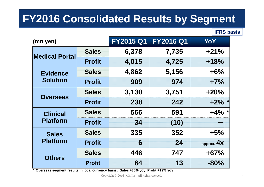# **FY2016 Consolidated Results by Segment**

**IFRS basis**

| (mn yen)                           |               | <b>FY2015 Q1</b> | <b>FY2016 Q1</b> | YoY          |
|------------------------------------|---------------|------------------|------------------|--------------|
| <b>Medical Portal</b>              | <b>Sales</b>  | 6,378            | 7,735            | $+21%$       |
|                                    | <b>Profit</b> | 4,015            | 4,725            | $+18%$       |
| <b>Evidence</b><br><b>Solution</b> | <b>Sales</b>  | 4,862            | 5,156            | $+6%$        |
|                                    | <b>Profit</b> | 909              | 974              | $+7%$        |
| <b>Overseas</b>                    | <b>Sales</b>  | 3,130            | 3,751            | $+20%$       |
|                                    | <b>Profit</b> | 238              | 242              | $+2\%$ *     |
| <b>Clinical</b>                    | <b>Sales</b>  | 566              | 591              | $+4\%$       |
| <b>Platform</b>                    | <b>Profit</b> | 34               | (10)             |              |
| <b>Sales</b><br><b>Platform</b>    | <b>Sales</b>  | 335              | 352              | $+5%$        |
|                                    | <b>Profit</b> | 6                | 24               | approx. $4x$ |
|                                    | <b>Sales</b>  | 446              | 747              | $+67%$       |
| <b>Others</b>                      | <b>Profit</b> | 64               | 13               | $-80%$       |

**\* Overseas segment results in local currency basis: Sales +35% yoy, Profit:+19% yoy**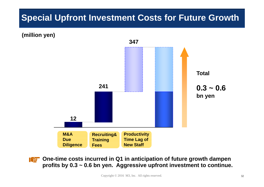#### **Special Upfront Investment Costs for Future Growth**

**(million yen)**



**One-time costs incurred in Q1 in anticipation of future growth dampen profits by 0.3 ~ 0.6 bn yen. Aggressive upfront investment to continue.**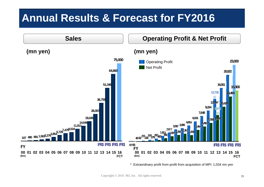### **Annual Results & Forecast for FY2016**



\* Extraordinary profit from profit from acquisition of MPI: 1,034 mn yen